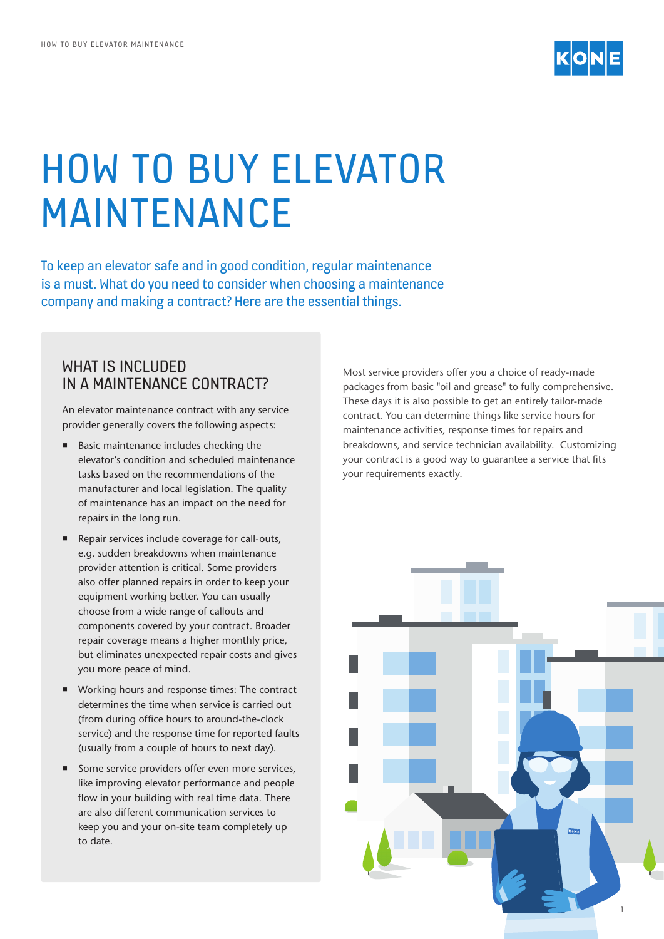

# HOW TO BUY ELEVATOR MAINTENANCE

To keep an elevator safe and in good condition, regular maintenance is a must. What do you need to consider when choosing a maintenance company and making a contract? Here are the essential things.

### WHAT IS INCLUDED IN A MAINTENANCE CONTRACT?

An elevator maintenance contract with any service provider generally covers the following aspects:

- Basic maintenance includes checking the elevator's condition and scheduled maintenance tasks based on the recommendations of the manufacturer and local legislation. The quality of maintenance has an impact on the need for repairs in the long run.
- Repair services include coverage for call-outs, e.g. sudden breakdowns when maintenance provider attention is critical. Some providers also offer planned repairs in order to keep your equipment working better. You can usually choose from a wide range of callouts and components covered by your contract. Broader repair coverage means a higher monthly price, but eliminates unexpected repair costs and gives you more peace of mind.
- Working hours and response times: The contract determines the time when service is carried out (from during office hours to around-the-clock service) and the response time for reported faults (usually from a couple of hours to next day).
- Some service providers offer even more services, like improving elevator performance and people flow in your building with real time data. There are also different communication services to keep you and your on-site team completely up to date.

Most service providers offer you a choice of ready-made packages from basic "oil and grease" to fully comprehensive. These days it is also possible to get an entirely tailor-made contract. You can determine things like service hours for maintenance activities, response times for repairs and breakdowns, and service technician availability. Customizing your contract is a good way to guarantee a service that fits your requirements exactly.

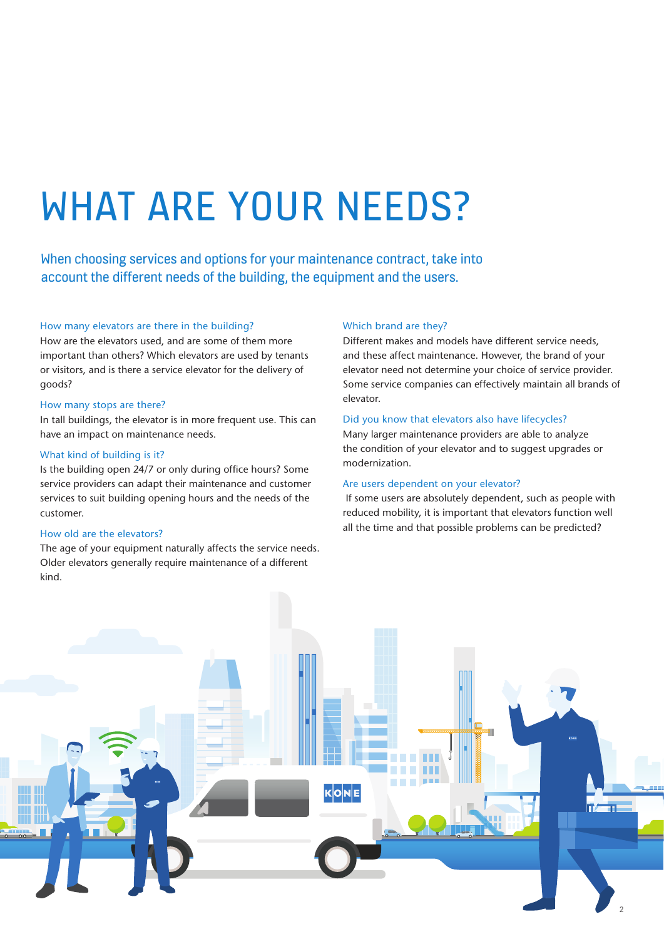# WHAT ARE YOUR NEEDS?

When choosing services and options for your maintenance contract, take into account the different needs of the building, the equipment and the users.

#### How many elevators are there in the building?

How are the elevators used, and are some of them more important than others? Which elevators are used by tenants or visitors, and is there a service elevator for the delivery of goods?

#### How many stops are there?

In tall buildings, the elevator is in more frequent use. This can have an impact on maintenance needs.

#### What kind of building is it?

Is the building open 24/7 or only during office hours? Some service providers can adapt their maintenance and customer services to suit building opening hours and the needs of the customer.

#### How old are the elevators?

The age of your equipment naturally affects the service needs. Older elevators generally require maintenance of a different kind.

#### Which brand are they?

Different makes and models have different service needs, and these affect maintenance. However, the brand of your elevator need not determine your choice of service provider. Some service companies can effectively maintain all brands of elevator.

#### Did you know that elevators also have lifecycles?

Many larger maintenance providers are able to analyze the condition of your elevator and to suggest upgrades or modernization.

#### Are users dependent on your elevator?

 If some users are absolutely dependent, such as people with reduced mobility, it is important that elevators function well all the time and that possible problems can be predicted?

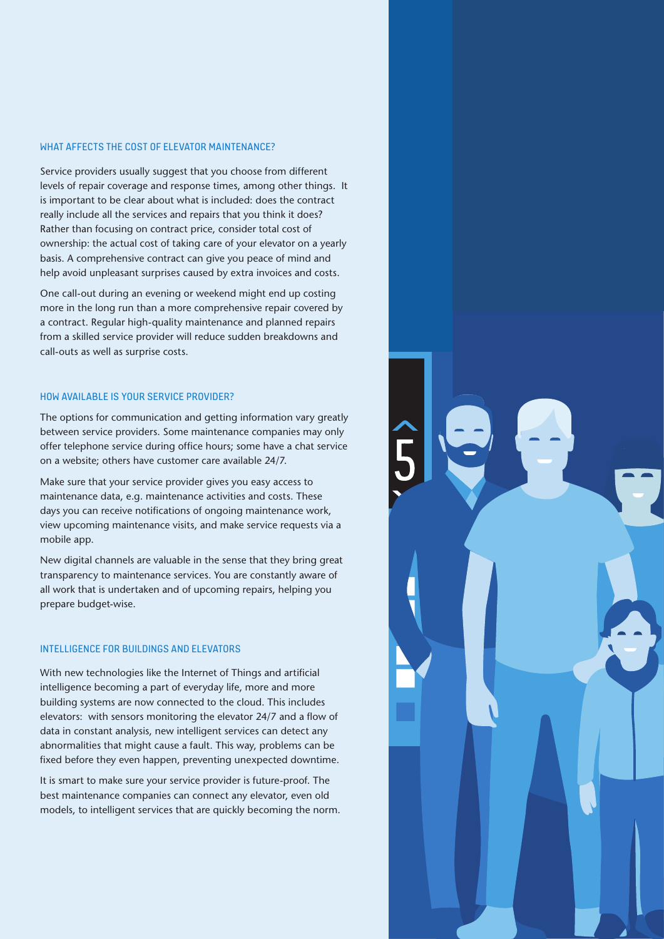#### WHAT AFFECTS THE COST OF ELEVATOR MAINTENANCE?

Service providers usually suggest that you choose from different levels of repair coverage and response times, among other things. It is important to be clear about what is included: does the contract really include all the services and repairs that you think it does? Rather than focusing on contract price, consider total cost of ownership: the actual cost of taking care of your elevator on a yearly basis. A comprehensive contract can give you peace of mind and help avoid unpleasant surprises caused by extra invoices and costs.

One call-out during an evening or weekend might end up costing more in the long run than a more comprehensive repair covered by a contract. Regular high-quality maintenance and planned repairs from a skilled service provider will reduce sudden breakdowns and call-outs as well as surprise costs.

#### HOW AVAILABLE IS YOUR SERVICE PROVIDER?

The options for communication and getting information vary greatly between service providers. Some maintenance companies may only offer telephone service during office hours; some have a chat service on a website; others have customer care available 24/7.

Make sure that your service provider gives you easy access to maintenance data, e.g. maintenance activities and costs. These days you can receive notifications of ongoing maintenance work, view upcoming maintenance visits, and make service requests via a mobile app.

New digital channels are valuable in the sense that they bring great transparency to maintenance services. You are constantly aware of all work that is undertaken and of upcoming repairs, helping you prepare budget-wise.

#### INTELLIGENCE FOR BUILDINGS AND ELEVATORS

With new technologies like the Internet of Things and artificial intelligence becoming a part of everyday life, more and more building systems are now connected to the cloud. This includes elevators: with sensors monitoring the elevator 24/7 and a flow of data in constant analysis, new intelligent services can detect any abnormalities that might cause a fault. This way, problems can be fixed before they even happen, preventing unexpected downtime.

It is smart to make sure your service provider is future-proof. The best maintenance companies can connect any elevator, even old models, to intelligent services that are quickly becoming the norm.